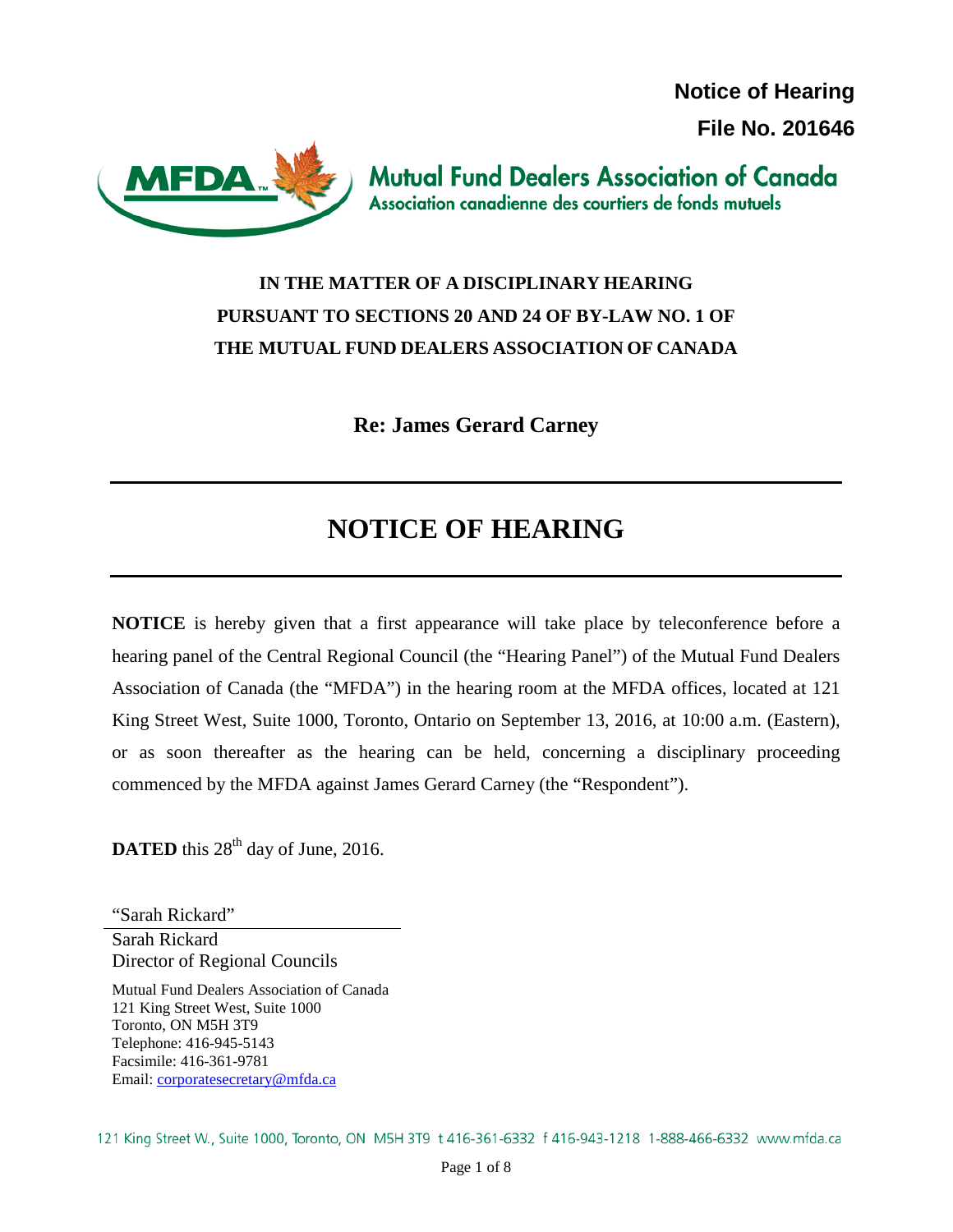**Notice of Hearing File No. 201646**



**Mutual Fund Dealers Association of Canada** Association canadienne des courtiers de fonds mutuels

## **IN THE MATTER OF A DISCIPLINARY HEARING PURSUANT TO SECTIONS 20 AND 24 OF BY-LAW NO. 1 OF THE MUTUAL FUND DEALERS ASSOCIATION OF CANADA**

**Re: James Gerard Carney**

# **NOTICE OF HEARING**

**NOTICE** is hereby given that a first appearance will take place by teleconference before a hearing panel of the Central Regional Council (the "Hearing Panel") of the Mutual Fund Dealers Association of Canada (the "MFDA") in the hearing room at the MFDA offices, located at 121 King Street West, Suite 1000, Toronto, Ontario on September 13, 2016, at 10:00 a.m. (Eastern), or as soon thereafter as the hearing can be held, concerning a disciplinary proceeding commenced by the MFDA against James Gerard Carney (the "Respondent").

**DATED** this  $28<sup>th</sup>$  day of June, 2016.

"Sarah Rickard" Sarah Rickard

Director of Regional Councils

Mutual Fund Dealers Association of Canada 121 King Street West, Suite 1000 Toronto, ON M5H 3T9 Telephone: 416-945-5143 Facsimile: 416-361-9781 Email: [corporatesecretary@mfda.ca](mailto:corporatesecretary@mfda.ca)

121 King Street W., Suite 1000, Toronto, ON M5H 3T9 t 416-361-6332 f 416-943-1218 1-888-466-6332 www.mfda.ca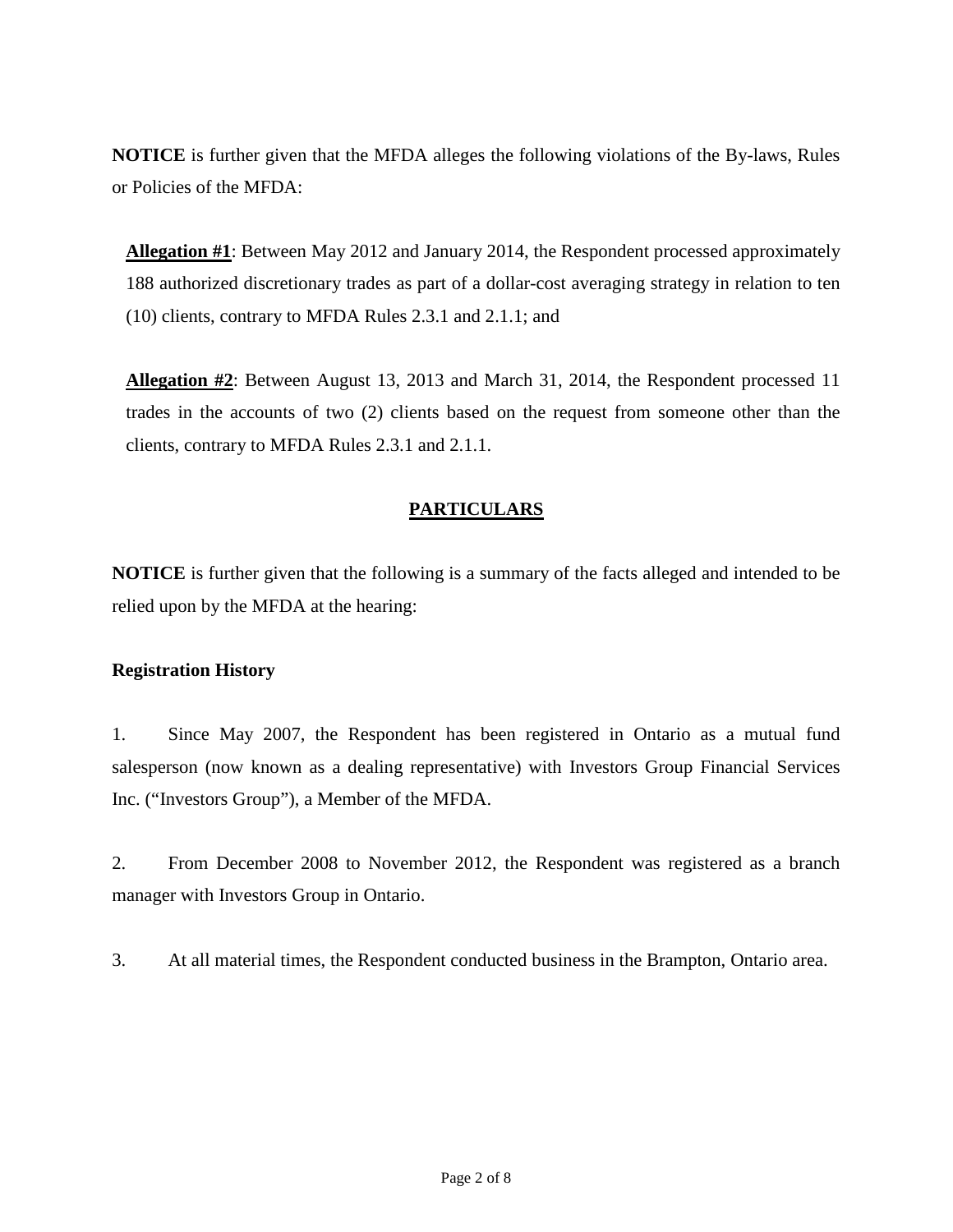**NOTICE** is further given that the MFDA alleges the following violations of the By-laws, Rules or Policies of the MFDA:

**Allegation #1**: Between May 2012 and January 2014, the Respondent processed approximately 188 authorized discretionary trades as part of a dollar-cost averaging strategy in relation to ten (10) clients, contrary to MFDA Rules 2.3.1 and 2.1.1; and

**Allegation #2**: Between August 13, 2013 and March 31, 2014, the Respondent processed 11 trades in the accounts of two (2) clients based on the request from someone other than the clients, contrary to MFDA Rules 2.3.1 and 2.1.1.

#### **PARTICULARS**

**NOTICE** is further given that the following is a summary of the facts alleged and intended to be relied upon by the MFDA at the hearing:

#### **Registration History**

1. Since May 2007, the Respondent has been registered in Ontario as a mutual fund salesperson (now known as a dealing representative) with Investors Group Financial Services Inc. ("Investors Group"), a Member of the MFDA.

2. From December 2008 to November 2012, the Respondent was registered as a branch manager with Investors Group in Ontario.

3. At all material times, the Respondent conducted business in the Brampton, Ontario area.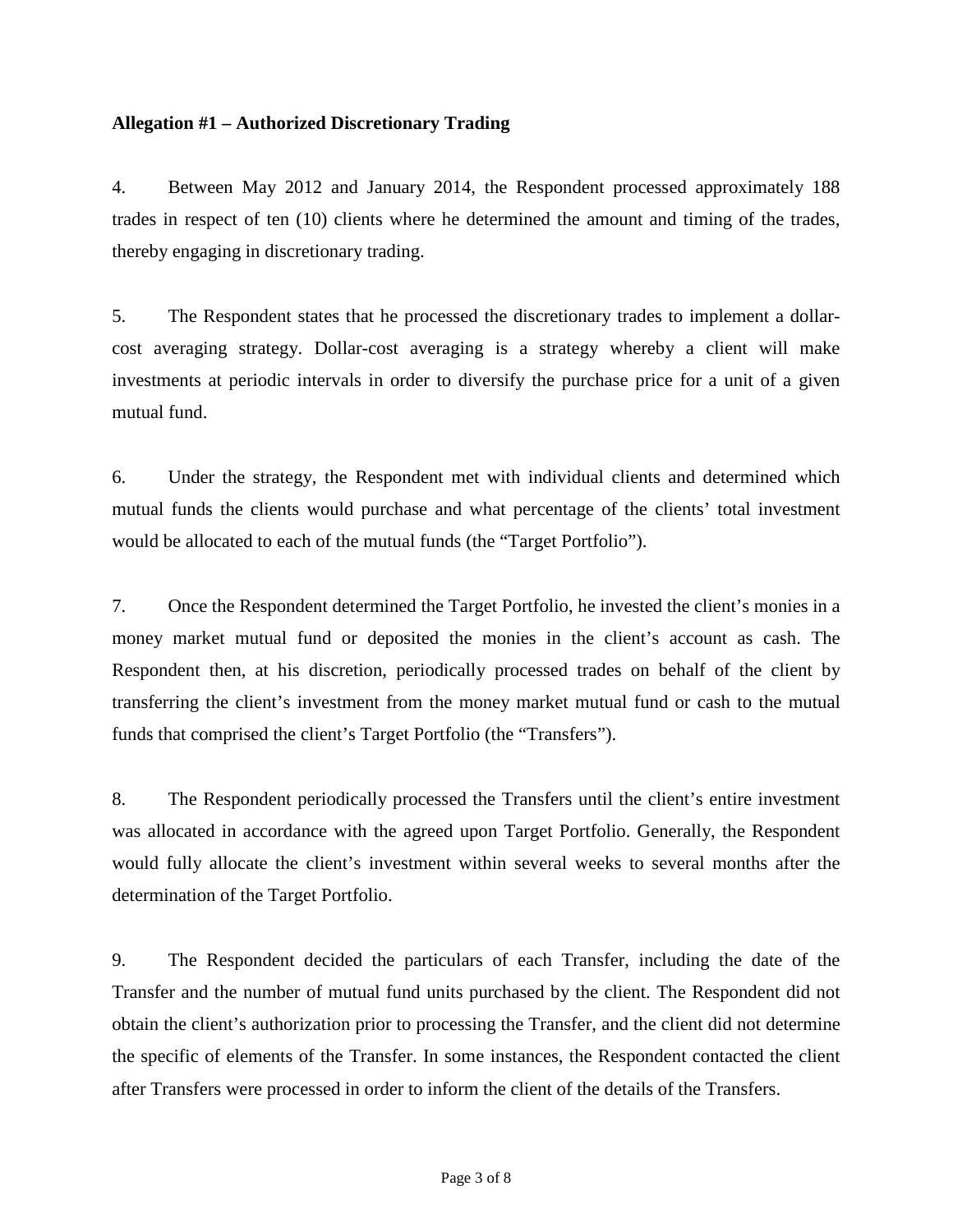#### **Allegation #1 – Authorized Discretionary Trading**

4. Between May 2012 and January 2014, the Respondent processed approximately 188 trades in respect of ten (10) clients where he determined the amount and timing of the trades, thereby engaging in discretionary trading.

5. The Respondent states that he processed the discretionary trades to implement a dollarcost averaging strategy. Dollar-cost averaging is a strategy whereby a client will make investments at periodic intervals in order to diversify the purchase price for a unit of a given mutual fund.

6. Under the strategy, the Respondent met with individual clients and determined which mutual funds the clients would purchase and what percentage of the clients' total investment would be allocated to each of the mutual funds (the "Target Portfolio").

7. Once the Respondent determined the Target Portfolio, he invested the client's monies in a money market mutual fund or deposited the monies in the client's account as cash. The Respondent then, at his discretion, periodically processed trades on behalf of the client by transferring the client's investment from the money market mutual fund or cash to the mutual funds that comprised the client's Target Portfolio (the "Transfers").

8. The Respondent periodically processed the Transfers until the client's entire investment was allocated in accordance with the agreed upon Target Portfolio. Generally, the Respondent would fully allocate the client's investment within several weeks to several months after the determination of the Target Portfolio.

9. The Respondent decided the particulars of each Transfer, including the date of the Transfer and the number of mutual fund units purchased by the client. The Respondent did not obtain the client's authorization prior to processing the Transfer, and the client did not determine the specific of elements of the Transfer. In some instances, the Respondent contacted the client after Transfers were processed in order to inform the client of the details of the Transfers.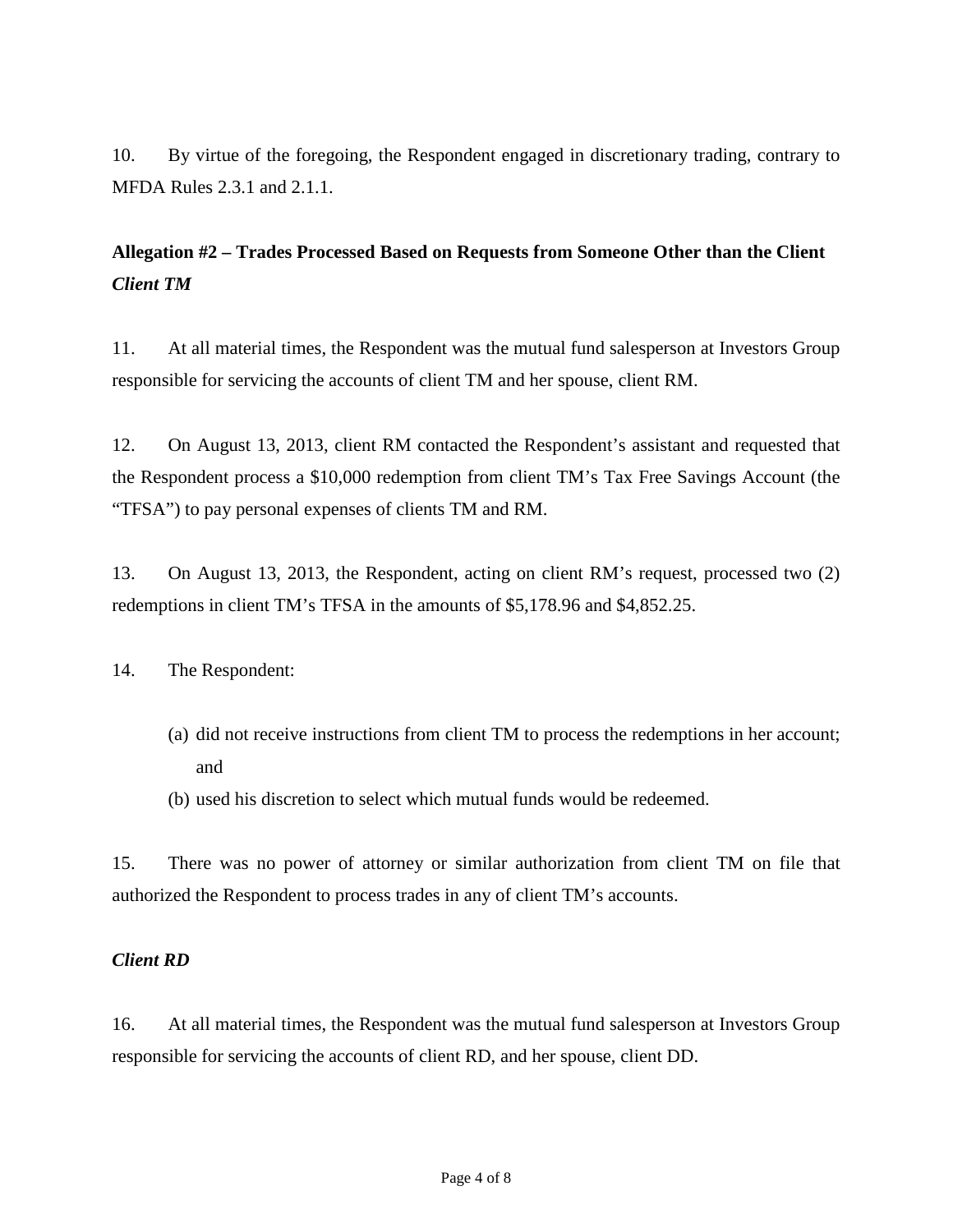10. By virtue of the foregoing, the Respondent engaged in discretionary trading, contrary to MFDA Rules 2.3.1 and 2.1.1.

### **Allegation #2 – Trades Processed Based on Requests from Someone Other than the Client** *Client TM*

11. At all material times, the Respondent was the mutual fund salesperson at Investors Group responsible for servicing the accounts of client TM and her spouse, client RM.

12. On August 13, 2013, client RM contacted the Respondent's assistant and requested that the Respondent process a \$10,000 redemption from client TM's Tax Free Savings Account (the "TFSA") to pay personal expenses of clients TM and RM.

13. On August 13, 2013, the Respondent, acting on client RM's request, processed two (2) redemptions in client TM's TFSA in the amounts of \$5,178.96 and \$4,852.25.

14. The Respondent:

- (a) did not receive instructions from client TM to process the redemptions in her account; and
- (b) used his discretion to select which mutual funds would be redeemed.

15. There was no power of attorney or similar authorization from client TM on file that authorized the Respondent to process trades in any of client TM's accounts.

#### *Client RD*

16. At all material times, the Respondent was the mutual fund salesperson at Investors Group responsible for servicing the accounts of client RD, and her spouse, client DD.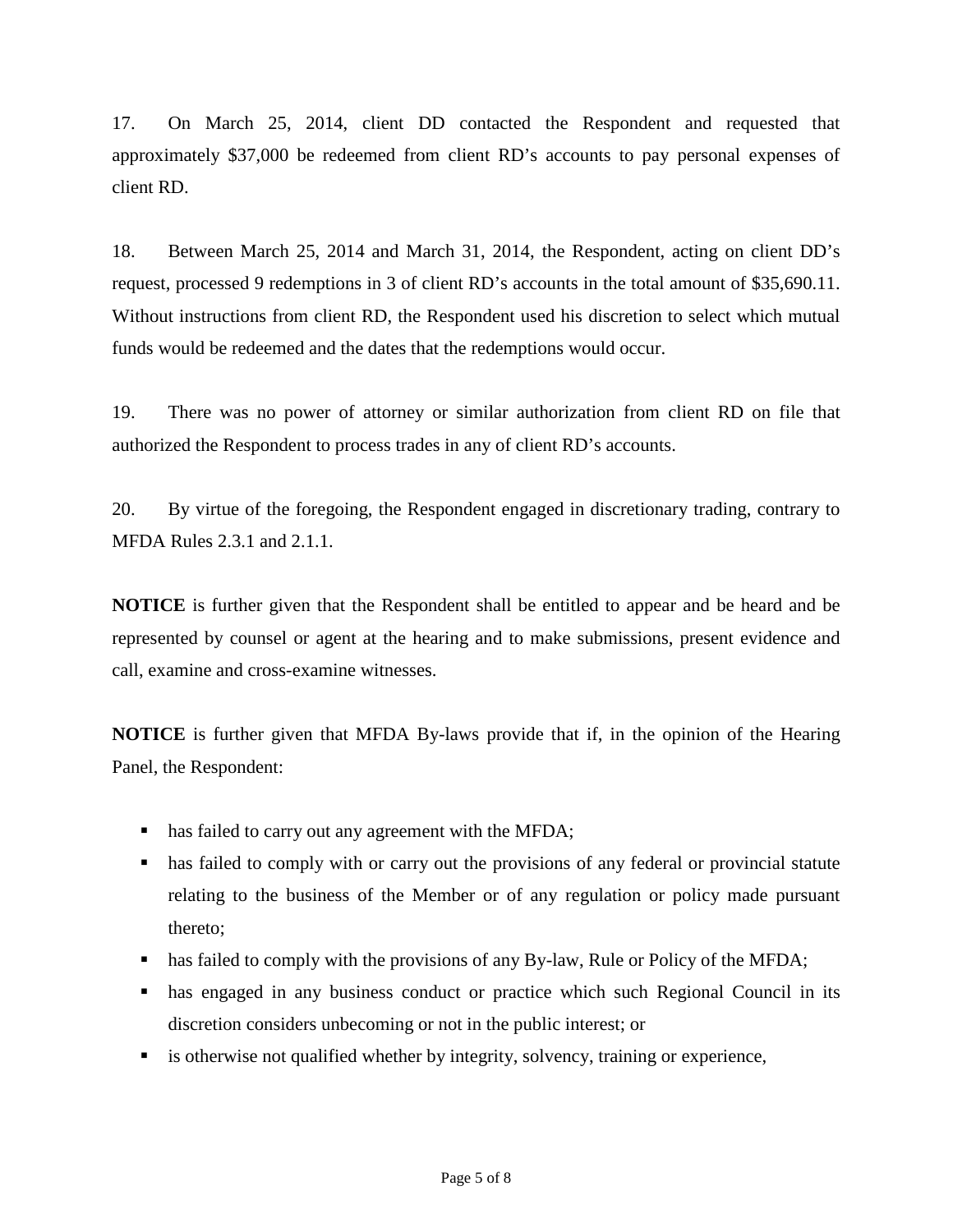17. On March 25, 2014, client DD contacted the Respondent and requested that approximately \$37,000 be redeemed from client RD's accounts to pay personal expenses of client RD.

18. Between March 25, 2014 and March 31, 2014, the Respondent, acting on client DD's request, processed 9 redemptions in 3 of client RD's accounts in the total amount of \$35,690.11. Without instructions from client RD, the Respondent used his discretion to select which mutual funds would be redeemed and the dates that the redemptions would occur.

19. There was no power of attorney or similar authorization from client RD on file that authorized the Respondent to process trades in any of client RD's accounts.

20. By virtue of the foregoing, the Respondent engaged in discretionary trading, contrary to MFDA Rules 2.3.1 and 2.1.1.

**NOTICE** is further given that the Respondent shall be entitled to appear and be heard and be represented by counsel or agent at the hearing and to make submissions, present evidence and call, examine and cross-examine witnesses.

**NOTICE** is further given that MFDA By-laws provide that if, in the opinion of the Hearing Panel, the Respondent:

- has failed to carry out any agreement with the MFDA;
- has failed to comply with or carry out the provisions of any federal or provincial statute relating to the business of the Member or of any regulation or policy made pursuant thereto;
- has failed to comply with the provisions of any By-law, Rule or Policy of the MFDA;
- has engaged in any business conduct or practice which such Regional Council in its discretion considers unbecoming or not in the public interest; or
- is otherwise not qualified whether by integrity, solvency, training or experience,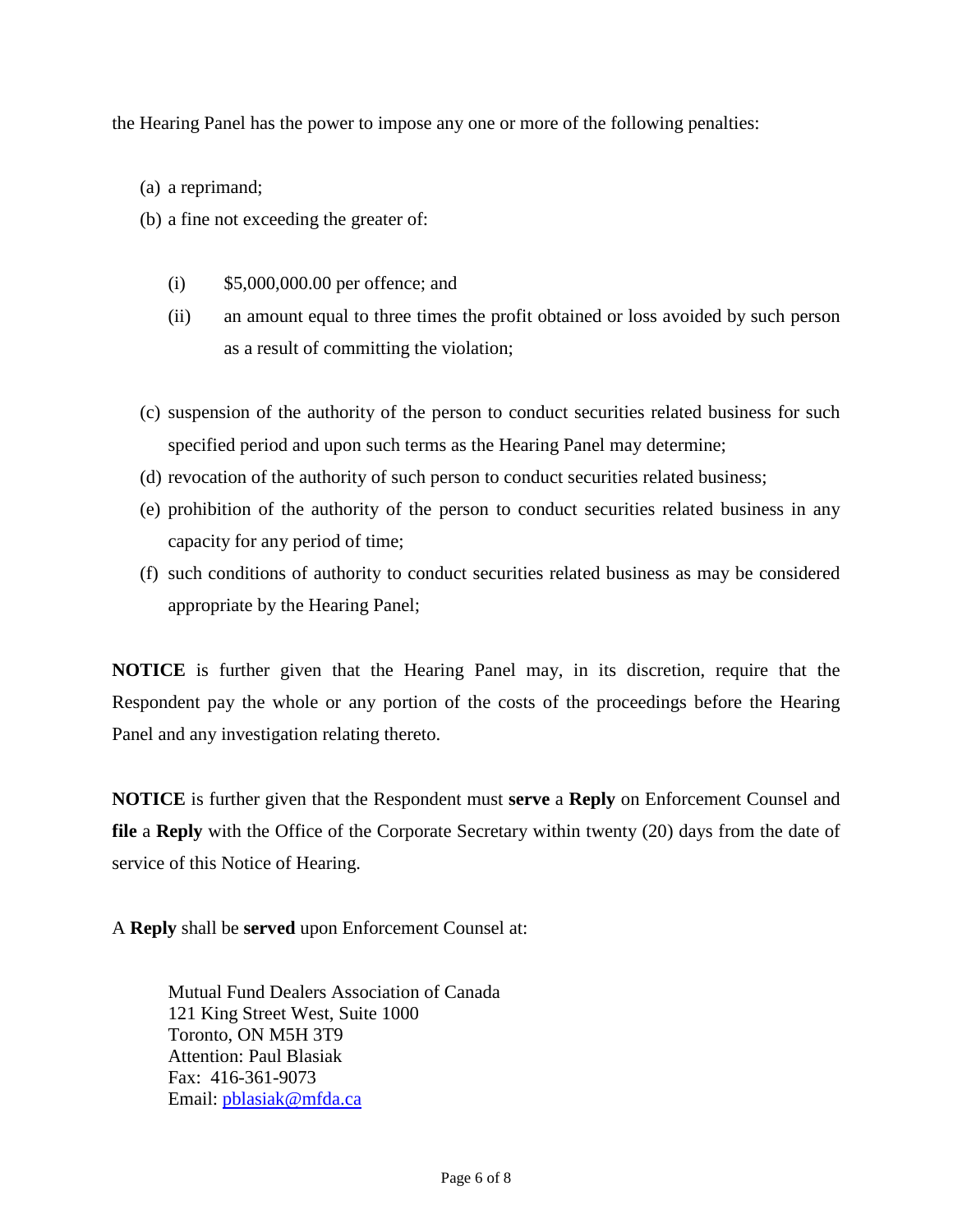the Hearing Panel has the power to impose any one or more of the following penalties:

- (a) a reprimand;
- (b) a fine not exceeding the greater of:
	- (i) \$5,000,000.00 per offence; and
	- (ii) an amount equal to three times the profit obtained or loss avoided by such person as a result of committing the violation;
- (c) suspension of the authority of the person to conduct securities related business for such specified period and upon such terms as the Hearing Panel may determine;
- (d) revocation of the authority of such person to conduct securities related business;
- (e) prohibition of the authority of the person to conduct securities related business in any capacity for any period of time;
- (f) such conditions of authority to conduct securities related business as may be considered appropriate by the Hearing Panel;

**NOTICE** is further given that the Hearing Panel may, in its discretion, require that the Respondent pay the whole or any portion of the costs of the proceedings before the Hearing Panel and any investigation relating thereto.

**NOTICE** is further given that the Respondent must **serve** a **Reply** on Enforcement Counsel and **file** a **Reply** with the Office of the Corporate Secretary within twenty (20) days from the date of service of this Notice of Hearing.

A **Reply** shall be **served** upon Enforcement Counsel at:

Mutual Fund Dealers Association of Canada 121 King Street West, Suite 1000 Toronto, ON M5H 3T9 Attention: Paul Blasiak Fax: 416-361-9073 Email: [pblasiak@mfda.ca](mailto:pblasiak@mfda.ca)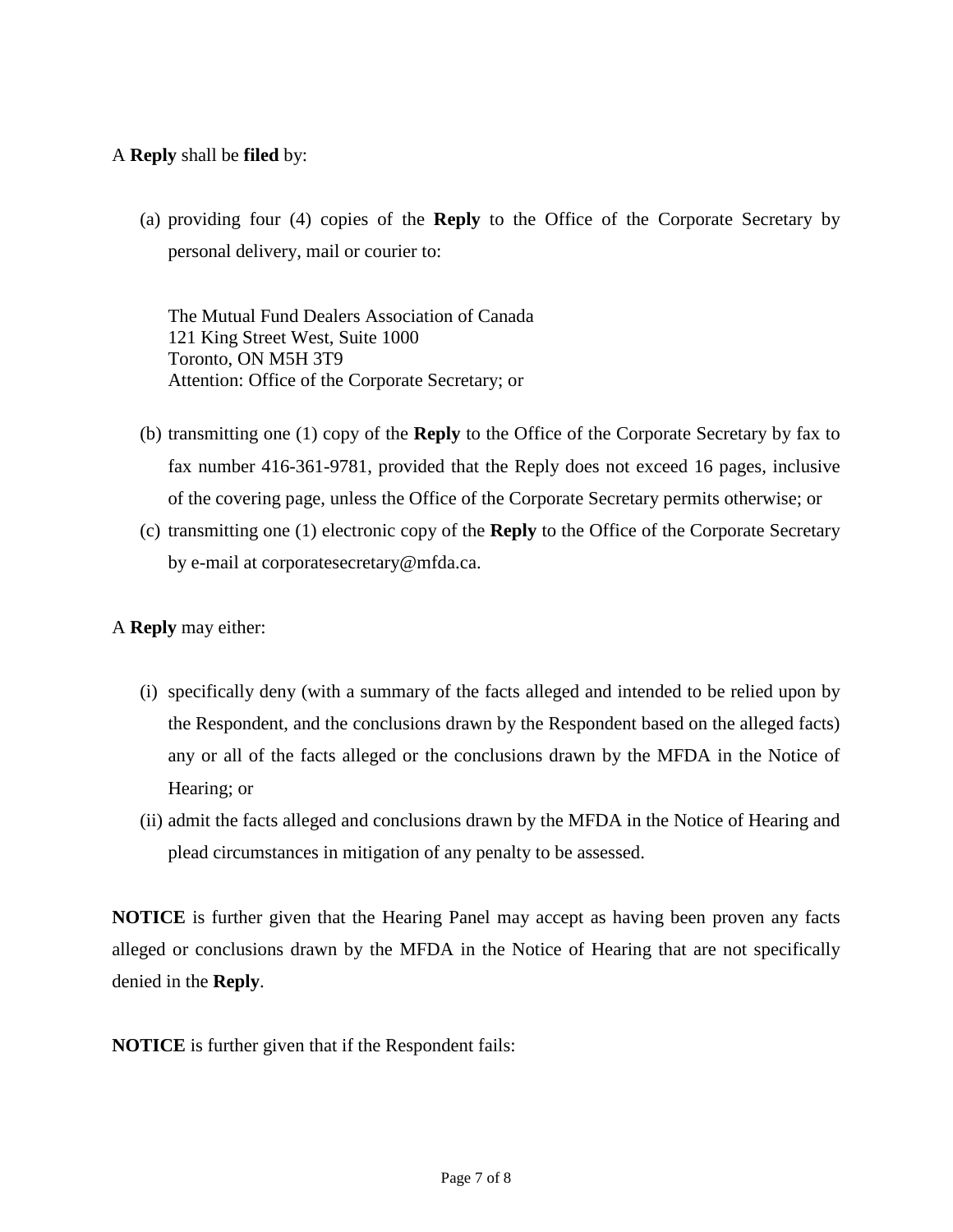A **Reply** shall be **filed** by:

(a) providing four (4) copies of the **Reply** to the Office of the Corporate Secretary by personal delivery, mail or courier to:

The Mutual Fund Dealers Association of Canada 121 King Street West, Suite 1000 Toronto, ON M5H 3T9 Attention: Office of the Corporate Secretary; or

- (b) transmitting one (1) copy of the **Reply** to the Office of the Corporate Secretary by fax to fax number 416-361-9781, provided that the Reply does not exceed 16 pages, inclusive of the covering page, unless the Office of the Corporate Secretary permits otherwise; or
- (c) transmitting one (1) electronic copy of the **Reply** to the Office of the Corporate Secretary by e-mail at corporatesecretary@mfda.ca.

A **Reply** may either:

- (i) specifically deny (with a summary of the facts alleged and intended to be relied upon by the Respondent, and the conclusions drawn by the Respondent based on the alleged facts) any or all of the facts alleged or the conclusions drawn by the MFDA in the Notice of Hearing; or
- (ii) admit the facts alleged and conclusions drawn by the MFDA in the Notice of Hearing and plead circumstances in mitigation of any penalty to be assessed.

**NOTICE** is further given that the Hearing Panel may accept as having been proven any facts alleged or conclusions drawn by the MFDA in the Notice of Hearing that are not specifically denied in the **Reply**.

**NOTICE** is further given that if the Respondent fails: